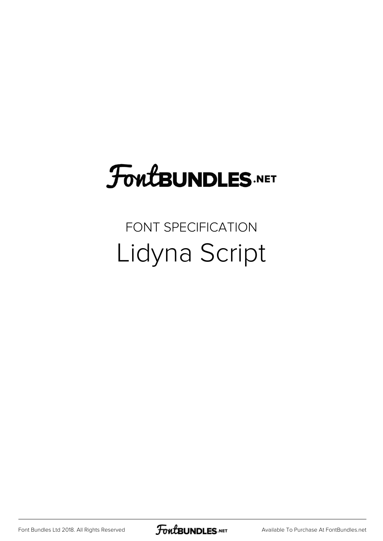## **FoutBUNDLES.NET**

## FONT SPECIFICATION Lidyna Script

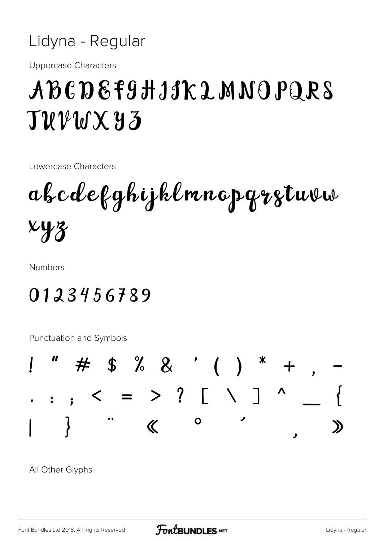

**Uppercase Characters** 

## ABCDEF9HJJKLMNOPQRS  $\mathbf{J}\mathcal{U}\mathcal{V}\mathcal{U}\mathbf{X}\mathbf{Y}\mathbf{Z}$

Lowercase Characters

abcdefghijklmnapgrztuvw  $xyz$ 

**Numbers** 

## 0123456789

**Punctuation and Symbols** 



All Other Glyphs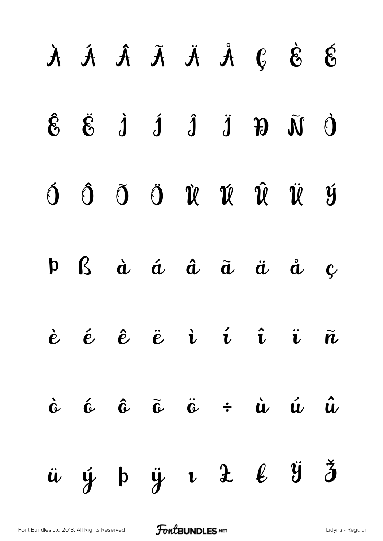| $\begin{array}{ccccccccccccccccc} \dot{A} & \dot{A} & \dot{A} & \dot{A} & \dot{A} & \dot{B} & \dot{B} & \dot{A} & \dot{A} & \dot{B} & \dot{B} & \dot{B} & \dot{B} & \dot{B} & \dot{B} & \dot{B} & \dot{B} & \dot{B} & \dot{B} & \dot{B} & \dot{B} & \dot{B} & \dot{B} & \dot{B} & \dot{B} & \dot{B} & \dot{B} & \dot{B} & \dot{B} & \dot{B} & \dot{B} & \dot{B} & \dot{B} & \dot{B} & \dot{B}$ |  |  |  |             |
|------------------------------------------------------------------------------------------------------------------------------------------------------------------------------------------------------------------------------------------------------------------------------------------------------------------------------------------------------------------------------------------------|--|--|--|-------------|
| $\hat{\mathcal{E}}\quad \  \, \ddot{\mathcal{E}}\quad \  \, \dot{\mathcal{J}}\quad \  \, \dot{\mathcal{J}}\quad \  \, \ddot{\mathcal{J}}\quad \  \, \mathcal{F}\quad \  \, \tilde{\mathcal{M}}\quad \  \, \dot{\mathcal{O}}$                                                                                                                                                                   |  |  |  |             |
| ÓÔÕÖÛÛÛÛÜ                                                                                                                                                                                                                                                                                                                                                                                      |  |  |  |             |
| $\mathbf{p}$ $\mathbf{\hat{g}}$ $\dot{\mathbf{a}}$ $\dot{\mathbf{a}}$ $\ddot{\mathbf{a}}$ $\ddot{\mathbf{a}}$ $\ddot{\mathbf{a}}$ $\ddot{\mathbf{a}}$                                                                                                                                                                                                                                          |  |  |  | $\mathbf C$ |
| è é ê ë i í î ï $\tilde{n}$                                                                                                                                                                                                                                                                                                                                                                    |  |  |  |             |
| $\dot{c}$ $\dot{c}$ $\dot{c}$ $\ddot{c}$ $\ddot{c}$ $\dot{c}$ $\dot{u}$ $\dot{u}$ $\dot{u}$                                                                                                                                                                                                                                                                                                    |  |  |  |             |
| $\ddot{u}$ $\dot{y}$ $\dot{p}$ $\ddot{u}$ $\dot{z}$ $\dot{\ell}$ $\ddot{y}$ $\ddot{z}$                                                                                                                                                                                                                                                                                                         |  |  |  |             |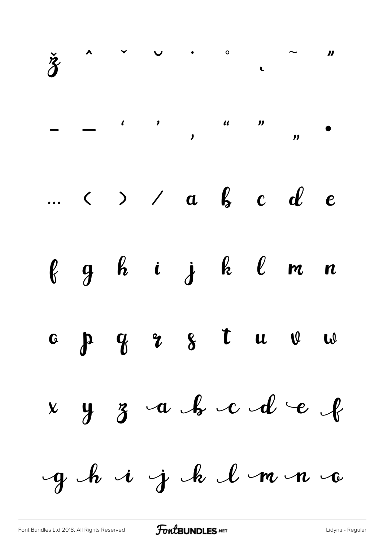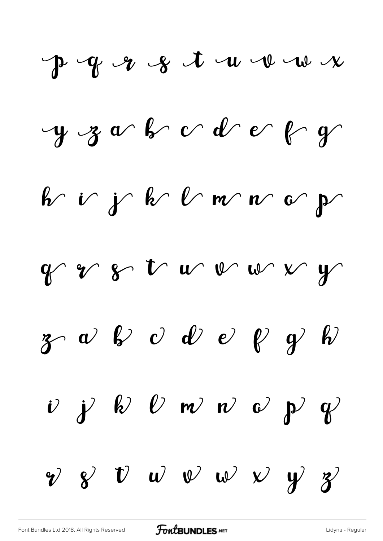$P - Y - 8 + u - u - w - x$  $y$  z a b  $c$  d  $e$   $y$  $b$  if  $b$  b  $b$  m  $c$  $y$  of  $y$  and  $y$  $g \sim \omega$  b  $\omega$   $\omega$   $e$   $\gamma$  b  $\begin{array}{ccccccccc} \nu & \gamma & k & \nu & \nu & \nu & \nu & \nu & \gamma & \gamma \end{array}$  $v$   $v$   $v$   $w$   $v$   $v$   $y$   $z$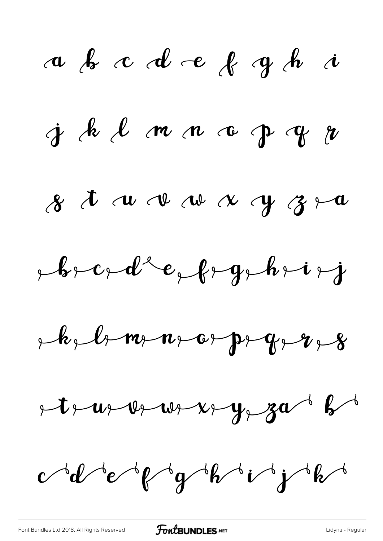a b c d e f g h i  $j$  de l m n c p  $y$  $8$   $\hbar$   $\alpha$   $\alpha$   $\alpha$   $\alpha$   $\gamma$   $3$   $\sim$  $p, p, c, d, e, f, g, h, i, j$  $R_1, R_2, R_3, m_1, m_2, m_3, m_4, m_5, m_6, m_7, m_8$  $+t$  as  $w_1w_2+w_2w_3w_4w_5$  $cd$  d'espr $g$  obitivate